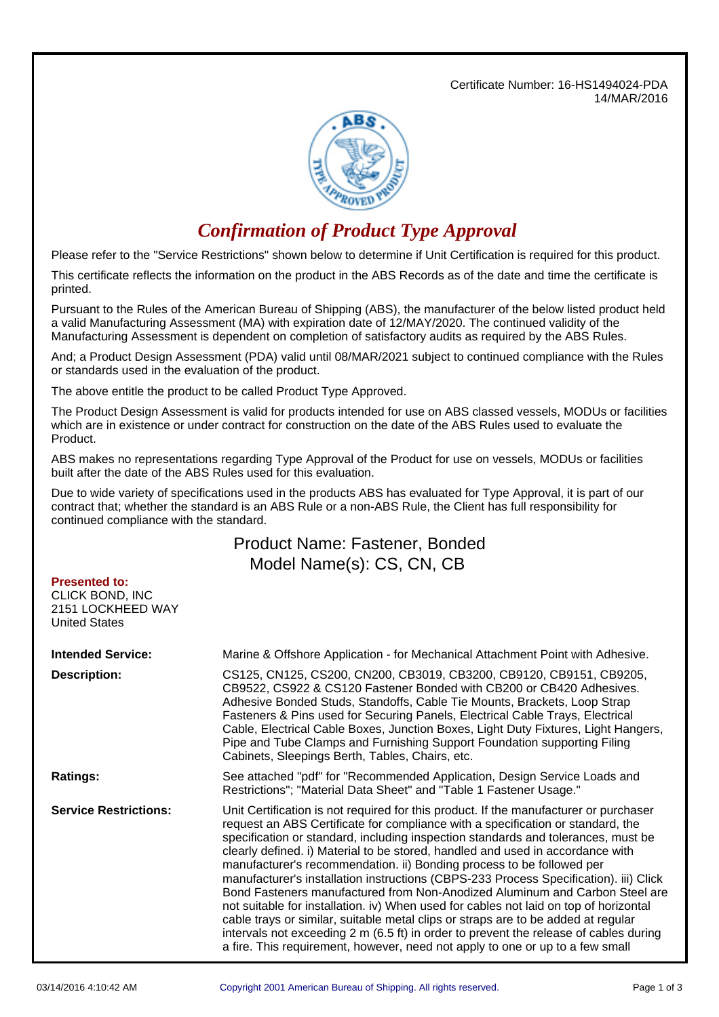Certificate Number: 16-HS1494024-PDA 14/MAR/2016



## *Confirmation of Product Type Approval*

Please refer to the "Service Restrictions" shown below to determine if Unit Certification is required for this product.

This certificate reflects the information on the product in the ABS Records as of the date and time the certificate is printed.

Pursuant to the Rules of the American Bureau of Shipping (ABS), the manufacturer of the below listed product held a valid Manufacturing Assessment (MA) with expiration date of 12/MAY/2020. The continued validity of the Manufacturing Assessment is dependent on completion of satisfactory audits as required by the ABS Rules.

And; a Product Design Assessment (PDA) valid until 08/MAR/2021 subject to continued compliance with the Rules or standards used in the evaluation of the product.

The above entitle the product to be called Product Type Approved.

The Product Design Assessment is valid for products intended for use on ABS classed vessels, MODUs or facilities which are in existence or under contract for construction on the date of the ABS Rules used to evaluate the Product.

ABS makes no representations regarding Type Approval of the Product for use on vessels, MODUs or facilities built after the date of the ABS Rules used for this evaluation.

Due to wide variety of specifications used in the products ABS has evaluated for Type Approval, it is part of our contract that; whether the standard is an ABS Rule or a non-ABS Rule, the Client has full responsibility for continued compliance with the standard.

## Product Name: Fastener, Bonded Model Name(s): CS, CN, CB

| <b>Presented to:</b><br>CLICK BOND, INC<br>2151 LOCKHEED WAY<br><b>United States</b> |                                                                                                                                                                                                                                                                                                                                                                                                                                                                                                                                                                                                                                                                                                                                                                                                                                                                                                                                                          |
|--------------------------------------------------------------------------------------|----------------------------------------------------------------------------------------------------------------------------------------------------------------------------------------------------------------------------------------------------------------------------------------------------------------------------------------------------------------------------------------------------------------------------------------------------------------------------------------------------------------------------------------------------------------------------------------------------------------------------------------------------------------------------------------------------------------------------------------------------------------------------------------------------------------------------------------------------------------------------------------------------------------------------------------------------------|
| <b>Intended Service:</b>                                                             | Marine & Offshore Application - for Mechanical Attachment Point with Adhesive.                                                                                                                                                                                                                                                                                                                                                                                                                                                                                                                                                                                                                                                                                                                                                                                                                                                                           |
| Description:                                                                         | CS125, CN125, CS200, CN200, CB3019, CB3200, CB9120, CB9151, CB9205,<br>CB9522, CS922 & CS120 Fastener Bonded with CB200 or CB420 Adhesives.<br>Adhesive Bonded Studs, Standoffs, Cable Tie Mounts, Brackets, Loop Strap<br>Fasteners & Pins used for Securing Panels, Electrical Cable Trays, Electrical<br>Cable, Electrical Cable Boxes, Junction Boxes, Light Duty Fixtures, Light Hangers,<br>Pipe and Tube Clamps and Furnishing Support Foundation supporting Filing<br>Cabinets, Sleepings Berth, Tables, Chairs, etc.                                                                                                                                                                                                                                                                                                                                                                                                                            |
| <b>Ratings:</b>                                                                      | See attached "pdf" for "Recommended Application, Design Service Loads and<br>Restrictions"; "Material Data Sheet" and "Table 1 Fastener Usage."                                                                                                                                                                                                                                                                                                                                                                                                                                                                                                                                                                                                                                                                                                                                                                                                          |
| <b>Service Restrictions:</b>                                                         | Unit Certification is not required for this product. If the manufacturer or purchaser<br>request an ABS Certificate for compliance with a specification or standard, the<br>specification or standard, including inspection standards and tolerances, must be<br>clearly defined. i) Material to be stored, handled and used in accordance with<br>manufacturer's recommendation. ii) Bonding process to be followed per<br>manufacturer's installation instructions (CBPS-233 Process Specification). iii) Click<br>Bond Fasteners manufactured from Non-Anodized Aluminum and Carbon Steel are<br>not suitable for installation. iv) When used for cables not laid on top of horizontal<br>cable trays or similar, suitable metal clips or straps are to be added at regular<br>intervals not exceeding 2 m (6.5 ft) in order to prevent the release of cables during<br>a fire. This requirement, however, need not apply to one or up to a few small |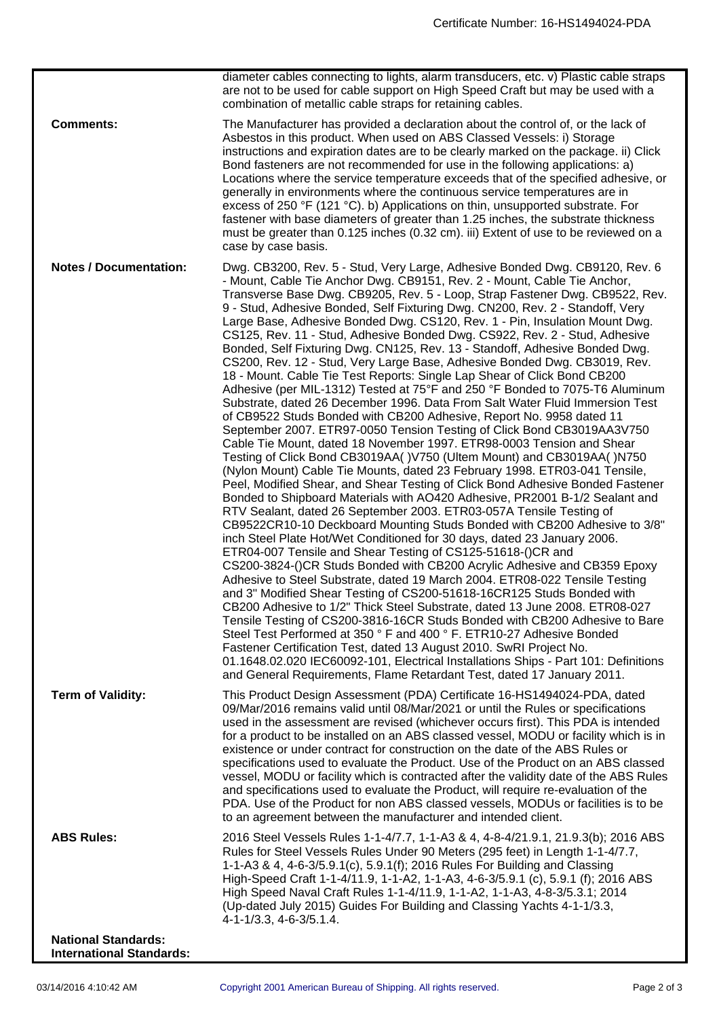|                                                               | diameter cables connecting to lights, alarm transducers, etc. v) Plastic cable straps<br>are not to be used for cable support on High Speed Craft but may be used with a<br>combination of metallic cable straps for retaining cables.                                                                                                                                                                                                                                                                                                                                                                                                                                                                                                                                                                                                                                                                                                                                                                                                                                                                                                                                                                                                                                                                                                                                                                                                                                                                                                                                                                                                                                                                                                                                                                                                                                                                                                                                                                                                                                                                                                                                                                                                                                                                                                                                                                                                                              |
|---------------------------------------------------------------|---------------------------------------------------------------------------------------------------------------------------------------------------------------------------------------------------------------------------------------------------------------------------------------------------------------------------------------------------------------------------------------------------------------------------------------------------------------------------------------------------------------------------------------------------------------------------------------------------------------------------------------------------------------------------------------------------------------------------------------------------------------------------------------------------------------------------------------------------------------------------------------------------------------------------------------------------------------------------------------------------------------------------------------------------------------------------------------------------------------------------------------------------------------------------------------------------------------------------------------------------------------------------------------------------------------------------------------------------------------------------------------------------------------------------------------------------------------------------------------------------------------------------------------------------------------------------------------------------------------------------------------------------------------------------------------------------------------------------------------------------------------------------------------------------------------------------------------------------------------------------------------------------------------------------------------------------------------------------------------------------------------------------------------------------------------------------------------------------------------------------------------------------------------------------------------------------------------------------------------------------------------------------------------------------------------------------------------------------------------------------------------------------------------------------------------------------------------------|
| <b>Comments:</b>                                              | The Manufacturer has provided a declaration about the control of, or the lack of<br>Asbestos in this product. When used on ABS Classed Vessels: i) Storage<br>instructions and expiration dates are to be clearly marked on the package. ii) Click<br>Bond fasteners are not recommended for use in the following applications: a)<br>Locations where the service temperature exceeds that of the specified adhesive, or<br>generally in environments where the continuous service temperatures are in<br>excess of 250 °F (121 °C). b) Applications on thin, unsupported substrate. For<br>fastener with base diameters of greater than 1.25 inches, the substrate thickness<br>must be greater than 0.125 inches (0.32 cm). iii) Extent of use to be reviewed on a<br>case by case basis.                                                                                                                                                                                                                                                                                                                                                                                                                                                                                                                                                                                                                                                                                                                                                                                                                                                                                                                                                                                                                                                                                                                                                                                                                                                                                                                                                                                                                                                                                                                                                                                                                                                                         |
| <b>Notes / Documentation:</b>                                 | Dwg. CB3200, Rev. 5 - Stud, Very Large, Adhesive Bonded Dwg. CB9120, Rev. 6<br>- Mount, Cable Tie Anchor Dwg. CB9151, Rev. 2 - Mount, Cable Tie Anchor,<br>Transverse Base Dwg. CB9205, Rev. 5 - Loop, Strap Fastener Dwg. CB9522, Rev.<br>9 - Stud, Adhesive Bonded, Self Fixturing Dwg. CN200, Rev. 2 - Standoff, Very<br>Large Base, Adhesive Bonded Dwg. CS120, Rev. 1 - Pin, Insulation Mount Dwg.<br>CS125, Rev. 11 - Stud, Adhesive Bonded Dwg. CS922, Rev. 2 - Stud, Adhesive<br>Bonded, Self Fixturing Dwg. CN125, Rev. 13 - Standoff, Adhesive Bonded Dwg.<br>CS200, Rev. 12 - Stud, Very Large Base, Adhesive Bonded Dwg. CB3019, Rev.<br>18 - Mount. Cable Tie Test Reports: Single Lap Shear of Click Bond CB200<br>Adhesive (per MIL-1312) Tested at 75°F and 250 °F Bonded to 7075-T6 Aluminum<br>Substrate, dated 26 December 1996. Data From Salt Water Fluid Immersion Test<br>of CB9522 Studs Bonded with CB200 Adhesive, Report No. 9958 dated 11<br>September 2007. ETR97-0050 Tension Testing of Click Bond CB3019AA3V750<br>Cable Tie Mount, dated 18 November 1997. ETR98-0003 Tension and Shear<br>Testing of Click Bond CB3019AA()V750 (Ultem Mount) and CB3019AA()N750<br>(Nylon Mount) Cable Tie Mounts, dated 23 February 1998. ETR03-041 Tensile,<br>Peel, Modified Shear, and Shear Testing of Click Bond Adhesive Bonded Fastener<br>Bonded to Shipboard Materials with AO420 Adhesive, PR2001 B-1/2 Sealant and<br>RTV Sealant, dated 26 September 2003. ETR03-057A Tensile Testing of<br>CB9522CR10-10 Deckboard Mounting Studs Bonded with CB200 Adhesive to 3/8"<br>inch Steel Plate Hot/Wet Conditioned for 30 days, dated 23 January 2006.<br>ETR04-007 Tensile and Shear Testing of CS125-51618-()CR and<br>CS200-3824-()CR Studs Bonded with CB200 Acrylic Adhesive and CB359 Epoxy<br>Adhesive to Steel Substrate, dated 19 March 2004. ETR08-022 Tensile Testing<br>and 3" Modified Shear Testing of CS200-51618-16CR125 Studs Bonded with<br>CB200 Adhesive to 1/2" Thick Steel Substrate, dated 13 June 2008. ETR08-027<br>Tensile Testing of CS200-3816-16CR Studs Bonded with CB200 Adhesive to Bare<br>Steel Test Performed at 350 ° F and 400 ° F. ETR10-27 Adhesive Bonded<br>Fastener Certification Test, dated 13 August 2010. SwRI Project No.<br>01.1648.02.020 IEC60092-101, Electrical Installations Ships - Part 101: Definitions<br>and General Requirements, Flame Retardant Test, dated 17 January 2011. |
| <b>Term of Validity:</b>                                      | This Product Design Assessment (PDA) Certificate 16-HS1494024-PDA, dated<br>09/Mar/2016 remains valid until 08/Mar/2021 or until the Rules or specifications<br>used in the assessment are revised (whichever occurs first). This PDA is intended<br>for a product to be installed on an ABS classed vessel, MODU or facility which is in<br>existence or under contract for construction on the date of the ABS Rules or<br>specifications used to evaluate the Product. Use of the Product on an ABS classed<br>vessel, MODU or facility which is contracted after the validity date of the ABS Rules<br>and specifications used to evaluate the Product, will require re-evaluation of the<br>PDA. Use of the Product for non ABS classed vessels, MODUs or facilities is to be<br>to an agreement between the manufacturer and intended client.                                                                                                                                                                                                                                                                                                                                                                                                                                                                                                                                                                                                                                                                                                                                                                                                                                                                                                                                                                                                                                                                                                                                                                                                                                                                                                                                                                                                                                                                                                                                                                                                                 |
| <b>ABS Rules:</b>                                             | 2016 Steel Vessels Rules 1-1-4/7.7, 1-1-A3 & 4, 4-8-4/21.9.1, 21.9.3(b); 2016 ABS<br>Rules for Steel Vessels Rules Under 90 Meters (295 feet) in Length 1-1-4/7.7,<br>1-1-A3 & 4, 4-6-3/5.9.1(c), 5.9.1(f); 2016 Rules For Building and Classing<br>High-Speed Craft 1-1-4/11.9, 1-1-A2, 1-1-A3, 4-6-3/5.9.1 (c), 5.9.1 (f); 2016 ABS<br>High Speed Naval Craft Rules 1-1-4/11.9, 1-1-A2, 1-1-A3, 4-8-3/5.3.1; 2014<br>(Up-dated July 2015) Guides For Building and Classing Yachts 4-1-1/3.3,<br>4-1-1/3.3, 4-6-3/5.1.4.                                                                                                                                                                                                                                                                                                                                                                                                                                                                                                                                                                                                                                                                                                                                                                                                                                                                                                                                                                                                                                                                                                                                                                                                                                                                                                                                                                                                                                                                                                                                                                                                                                                                                                                                                                                                                                                                                                                                           |
| <b>National Standards:</b><br><b>International Standards:</b> |                                                                                                                                                                                                                                                                                                                                                                                                                                                                                                                                                                                                                                                                                                                                                                                                                                                                                                                                                                                                                                                                                                                                                                                                                                                                                                                                                                                                                                                                                                                                                                                                                                                                                                                                                                                                                                                                                                                                                                                                                                                                                                                                                                                                                                                                                                                                                                                                                                                                     |